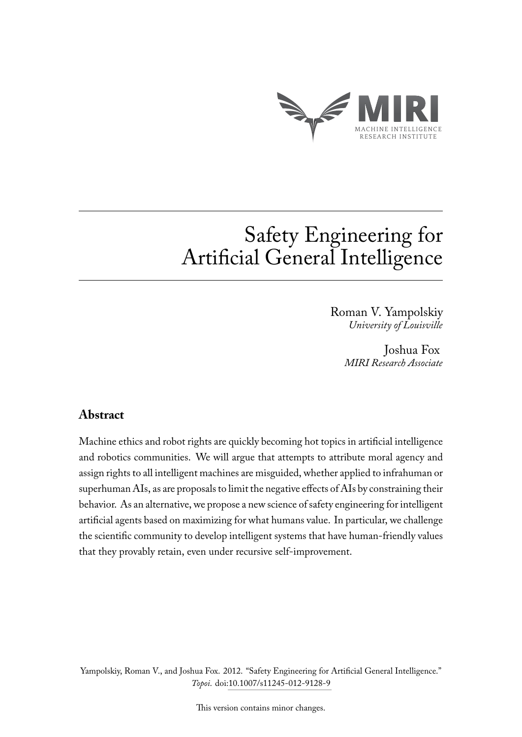

# Safety Engineering for Artificial General Intelligence

Roman V. Yampolskiy *University of Louisville*

> Joshua Fox *MIRI Research Associate*

# **Abstract**

Machine ethics and robot rights are quickly becoming hot topics in artificial intelligence and robotics communities. We will argue that attempts to attribute moral agency and assign rights to all intelligent machines are misguided, whether applied to infrahuman or superhuman AIs, as are proposals to limit the negative effects of AIs by constraining their behavior. As an alternative, we propose a new science of safety engineering for intelligent artificial agents based on maximizing for what humans value. In particular, we challenge the scientific community to develop intelligent systems that have human-friendly values that they provably retain, even under recursive self-improvement.

Yampolskiy, Roman V., and Joshua Fox. 2012. "Safety Engineering for Artificial General Intelligence." *Topoi*. doi[:10.1007/s11245-012-9128-9](http://dx.doi.org/10.1007/s11245-012-9128-9)

This version contains minor changes.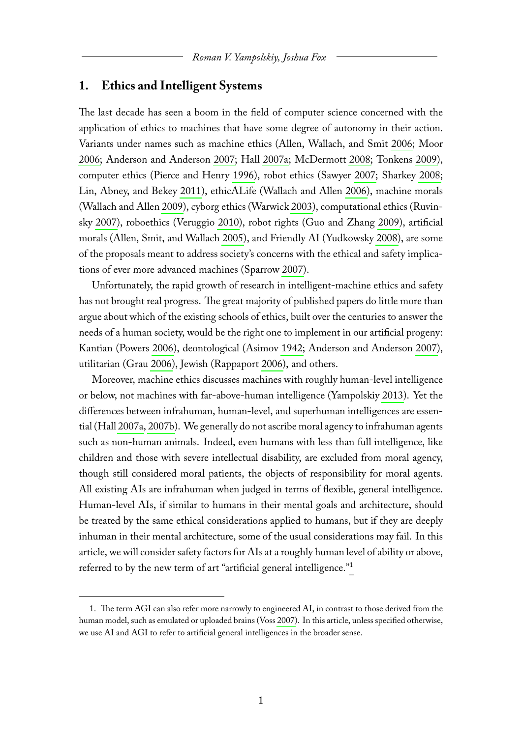#### **1. Ethics and Intelligent Systems**

The last decade has seen a boom in the field of computer science concerned with the application of ethics to machines that have some degree of autonomy in their action. Variants under names such as machine ethics (Allen, Wallach, and Smit [2006;](#page-15-0) Moor [2006;](#page-17-0) Anderson and Anderson [2007;](#page-15-1) Hall [2007a;](#page-17-1) McDermott [2008;](#page-17-2) Tonkens [2009\)](#page-18-0), computer ethics (Pierce and Henry [1996\)](#page-18-1), robot ethics (Sawyer [2007;](#page-18-2) Sharkey [2008;](#page-18-3) Lin, Abney, and Bekey [2011\)](#page-17-3), ethicALife (Wallach and Allen [2006\)](#page-19-0), machine morals (Wallach and Allen [2009\)](#page-19-1), cyborg ethics (Warwick [2003\)](#page-19-2), computational ethics (Ruvinsky [2007\)](#page-18-4), roboethics (Veruggio [2010\)](#page-18-5), robot rights (Guo and Zhang [2009\)](#page-17-4), artificial morals (Allen, Smit, and Wallach [2005\)](#page-15-2), and Friendly AI (Yudkowsky [2008\)](#page-20-0), are some of the proposals meant to address society's concerns with the ethical and safety implications of ever more advanced machines (Sparrow [2007\)](#page-18-6).

Unfortunately, the rapid growth of research in intelligent-machine ethics and safety has not brought real progress. The great majority of published papers do little more than argue about which of the existing schools of ethics, built over the centuries to answer the needs of a human society, would be the right one to implement in our artificial progeny: Kantian (Powers [2006\)](#page-18-7), deontological (Asimov [1942;](#page-15-3) Anderson and Anderson [2007\)](#page-15-1), utilitarian (Grau [2006\)](#page-17-5), Jewish (Rappaport [2006\)](#page-18-8), and others.

Moreover, machine ethics discusses machines with roughly human-level intelligence or below, not machines with far-above-human intelligence (Yampolskiy [2013\)](#page-19-3). Yet the differences between infrahuman, human-level, and superhuman intelligences are essential (Hall [2007a,](#page-17-1) [2007b\)](#page-17-6). We generally do not ascribe moral agency to infrahuman agents such as non-human animals. Indeed, even humans with less than full intelligence, like children and those with severe intellectual disability, are excluded from moral agency, though still considered moral patients, the objects of responsibility for moral agents. All existing AIs are infrahuman when judged in terms of flexible, general intelligence. Human-level AIs, if similar to humans in their mental goals and architecture, should be treated by the same ethical considerations applied to humans, but if they are deeply inhuman in their mental architecture, some of the usual considerations may fail. In this article, we will consider safety factors for AIs at a roughly human level of ability or above, referred to by the new term of art "artificial general intelligence."[1](#page-1-0)

<span id="page-1-0"></span><sup>1.</sup> The term AGI can also refer more narrowly to engineered AI, in contrast to those derived from the human model, such as emulated or uploaded brains (Voss [2007\)](#page-19-4). In this article, unless specified otherwise, we use AI and AGI to refer to artificial general intelligences in the broader sense.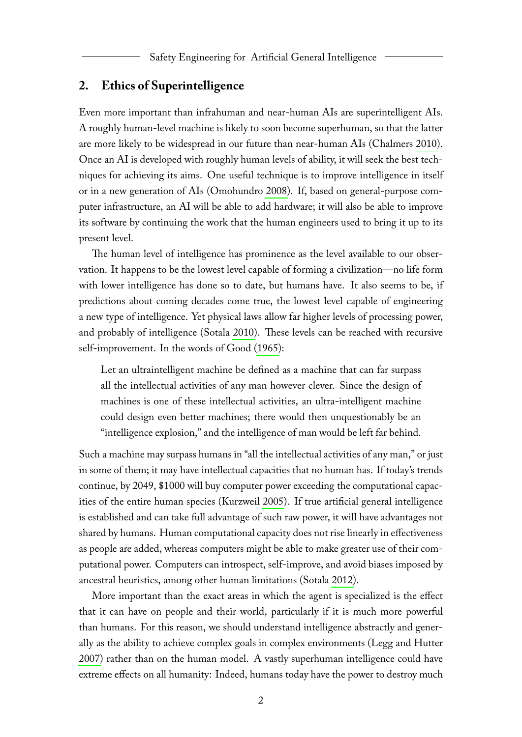#### **2. Ethics of Superintelligence**

Even more important than infrahuman and near-human AIs are superintelligent AIs. A roughly human-level machine is likely to soon become superhuman, so that the latter are more likely to be widespread in our future than near-human AIs (Chalmers [2010\)](#page-16-0). Once an AI is developed with roughly human levels of ability, it will seek the best techniques for achieving its aims. One useful technique is to improve intelligence in itself or in a new generation of AIs (Omohundro [2008\)](#page-18-9). If, based on general-purpose computer infrastructure, an AI will be able to add hardware; it will also be able to improve its software by continuing the work that the human engineers used to bring it up to its present level.

The human level of intelligence has prominence as the level available to our observation. It happens to be the lowest level capable of forming a civilization—no life form with lower intelligence has done so to date, but humans have. It also seems to be, if predictions about coming decades come true, the lowest level capable of engineering a new type of intelligence. Yet physical laws allow far higher levels of processing power, and probably of intelligence (Sotala [2010\)](#page-18-10). These levels can be reached with recursive self-improvement. In the words of Good [\(1965\)](#page-16-1):

Let an ultraintelligent machine be defined as a machine that can far surpass all the intellectual activities of any man however clever. Since the design of machines is one of these intellectual activities, an ultra-intelligent machine could design even better machines; there would then unquestionably be an "intelligence explosion," and the intelligence of man would be left far behind.

Such a machine may surpass humans in "all the intellectual activities of any man," or just in some of them; it may have intellectual capacities that no human has. If today's trends continue, by 2049, \$1000 will buy computer power exceeding the computational capacities of the entire human species (Kurzweil [2005\)](#page-17-7). If true artificial general intelligence is established and can take full advantage of such raw power, it will have advantages not shared by humans. Human computational capacity does not rise linearly in effectiveness as people are added, whereas computers might be able to make greater use of their computational power. Computers can introspect, self-improve, and avoid biases imposed by ancestral heuristics, among other human limitations (Sotala [2012\)](#page-18-11).

More important than the exact areas in which the agent is specialized is the effect that it can have on people and their world, particularly if it is much more powerful than humans. For this reason, we should understand intelligence abstractly and generally as the ability to achieve complex goals in complex environments (Legg and Hutter [2007\)](#page-17-8) rather than on the human model. A vastly superhuman intelligence could have extreme effects on all humanity: Indeed, humans today have the power to destroy much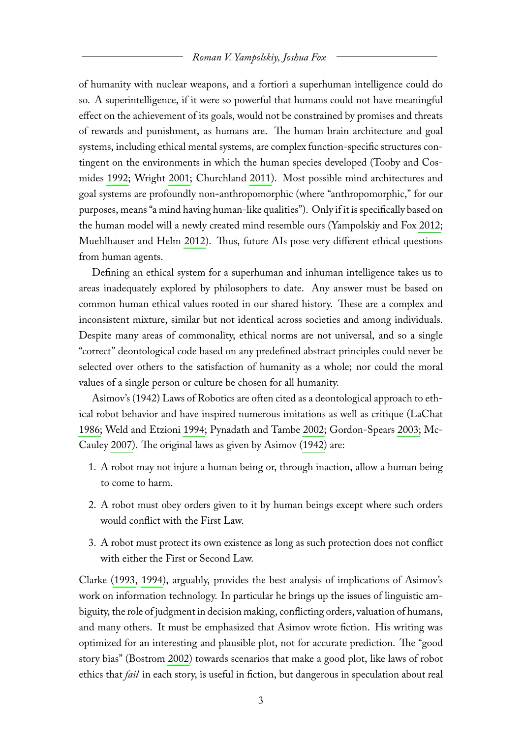#### *Roman V. Yampolskiy, Joshua Fox*

of humanity with nuclear weapons, and a fortiori a superhuman intelligence could do so. A superintelligence, if it were so powerful that humans could not have meaningful effect on the achievement of its goals, would not be constrained by promises and threats of rewards and punishment, as humans are. The human brain architecture and goal systems, including ethical mental systems, are complex function-specific structures contingent on the environments in which the human species developed (Tooby and Cosmides [1992;](#page-18-12) Wright [2001;](#page-19-5) Churchland [2011\)](#page-16-2). Most possible mind architectures and goal systems are profoundly non-anthropomorphic (where "anthropomorphic," for our purposes, means "a mind having human-like qualities"). Only if it is specifically based on the human model will a newly created mind resemble ours (Yampolskiy and Fox [2012;](#page-19-6) Muehlhauser and Helm [2012\)](#page-17-9). Thus, future AIs pose very different ethical questions from human agents.

Defining an ethical system for a superhuman and inhuman intelligence takes us to areas inadequately explored by philosophers to date. Any answer must be based on common human ethical values rooted in our shared history. These are a complex and inconsistent mixture, similar but not identical across societies and among individuals. Despite many areas of commonality, ethical norms are not universal, and so a single "correct" deontological code based on any predefined abstract principles could never be selected over others to the satisfaction of humanity as a whole; nor could the moral values of a single person or culture be chosen for all humanity.

Asimov's (1942) Laws of Robotics are often cited as a deontological approach to ethical robot behavior and have inspired numerous imitations as well as critique (LaChat [1986;](#page-17-10) Weld and Etzioni [1994;](#page-19-7) Pynadath and Tambe [2002;](#page-18-13) Gordon-Spears [2003;](#page-16-3) Mc-Cauley [2007\)](#page-17-11). The original laws as given by Asimov [\(1942\)](#page-15-3) are:

- 1. A robot may not injure a human being or, through inaction, allow a human being to come to harm.
- 2. A robot must obey orders given to it by human beings except where such orders would conflict with the First Law.
- 3. A robot must protect its own existence as long as such protection does not conflict with either the First or Second Law.

Clarke [\(1993,](#page-16-4) [1994\)](#page-16-5), arguably, provides the best analysis of implications of Asimov's work on information technology. In particular he brings up the issues of linguistic ambiguity, the role of judgment in decision making, conflicting orders, valuation of humans, and many others. It must be emphasized that Asimov wrote fiction. His writing was optimized for an interesting and plausible plot, not for accurate prediction. The "good story bias" (Bostrom [2002\)](#page-15-4) towards scenarios that make a good plot, like laws of robot ethics that *fail* in each story, is useful in fiction, but dangerous in speculation about real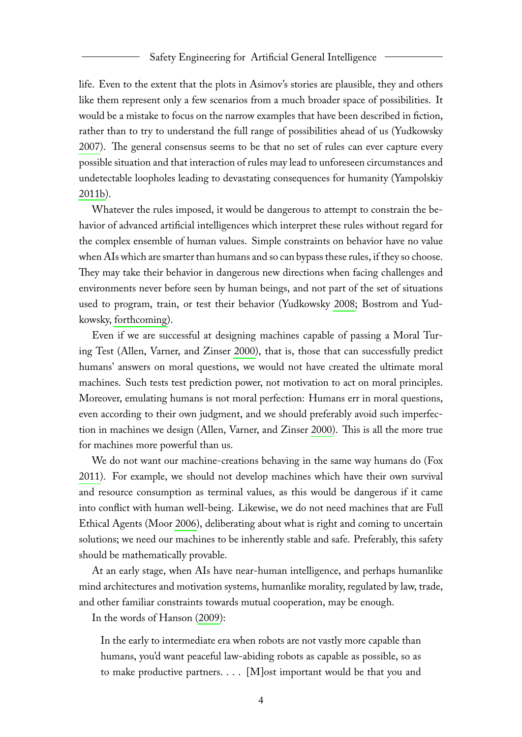life. Even to the extent that the plots in Asimov's stories are plausible, they and others like them represent only a few scenarios from a much broader space of possibilities. It would be a mistake to focus on the narrow examples that have been described in fiction, rather than to try to understand the full range of possibilities ahead of us (Yudkowsky [2007\)](#page-20-1). The general consensus seems to be that no set of rules can ever capture every possible situation and that interaction of rules may lead to unforeseen circumstances and undetectable loopholes leading to devastating consequences for humanity (Yampolskiy [2011b\)](#page-19-8).

Whatever the rules imposed, it would be dangerous to attempt to constrain the behavior of advanced artificial intelligences which interpret these rules without regard for the complex ensemble of human values. Simple constraints on behavior have no value when AIs which are smarter than humans and so can bypass these rules, if they so choose. They may take their behavior in dangerous new directions when facing challenges and environments never before seen by human beings, and not part of the set of situations used to program, train, or test their behavior (Yudkowsky [2008;](#page-20-0) Bostrom and Yudkowsky, [forthcoming\)](#page-15-5).

Even if we are successful at designing machines capable of passing a Moral Turing Test (Allen, Varner, and Zinser [2000\)](#page-15-6), that is, those that can successfully predict humans' answers on moral questions, we would not have created the ultimate moral machines. Such tests test prediction power, not motivation to act on moral principles. Moreover, emulating humans is not moral perfection: Humans err in moral questions, even according to their own judgment, and we should preferably avoid such imperfection in machines we design (Allen, Varner, and Zinser [2000\)](#page-15-6). This is all the more true for machines more powerful than us.

We do not want our machine-creations behaving in the same way humans do (Fox [2011\)](#page-16-6). For example, we should not develop machines which have their own survival and resource consumption as terminal values, as this would be dangerous if it came into conflict with human well-being. Likewise, we do not need machines that are Full Ethical Agents (Moor [2006\)](#page-17-0), deliberating about what is right and coming to uncertain solutions; we need our machines to be inherently stable and safe. Preferably, this safety should be mathematically provable.

At an early stage, when AIs have near-human intelligence, and perhaps humanlike mind architectures and motivation systems, humanlike morality, regulated by law, trade, and other familiar constraints towards mutual cooperation, may be enough.

In the words of Hanson [\(2009\)](#page-17-12):

In the early to intermediate era when robots are not vastly more capable than humans, you'd want peaceful law-abiding robots as capable as possible, so as to make productive partners. . . . [M]ost important would be that you and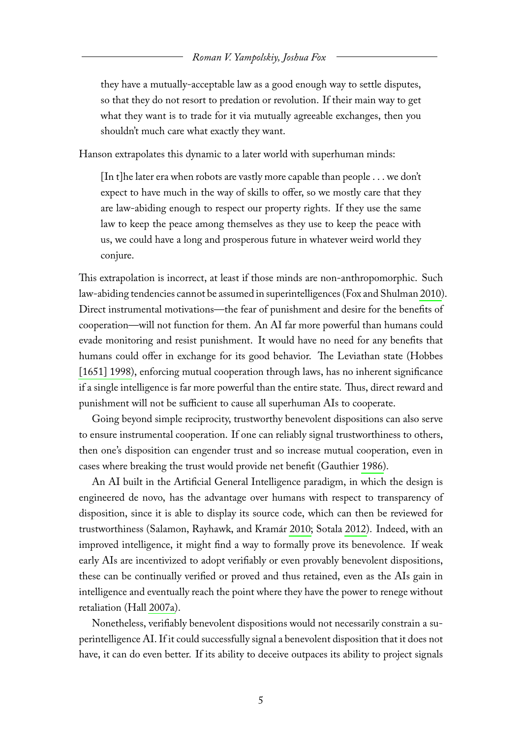they have a mutually-acceptable law as a good enough way to settle disputes, so that they do not resort to predation or revolution. If their main way to get what they want is to trade for it via mutually agreeable exchanges, then you shouldn't much care what exactly they want.

Hanson extrapolates this dynamic to a later world with superhuman minds:

[In t]he later era when robots are vastly more capable than people . . . we don't expect to have much in the way of skills to offer, so we mostly care that they are law-abiding enough to respect our property rights. If they use the same law to keep the peace among themselves as they use to keep the peace with us, we could have a long and prosperous future in whatever weird world they conjure.

This extrapolation is incorrect, at least if those minds are non-anthropomorphic. Such law-abiding tendencies cannot be assumed in superintelligences (Fox and Shulman [2010\)](#page-16-7). Direct instrumental motivations—the fear of punishment and desire for the benefits of cooperation—will not function for them. An AI far more powerful than humans could evade monitoring and resist punishment. It would have no need for any benefits that humans could offer in exchange for its good behavior. The Leviathan state (Hobbes [\[1651\] 1998\)](#page-17-13), enforcing mutual cooperation through laws, has no inherent significance if a single intelligence is far more powerful than the entire state. Thus, direct reward and punishment will not be sufficient to cause all superhuman AIs to cooperate.

Going beyond simple reciprocity, trustworthy benevolent dispositions can also serve to ensure instrumental cooperation. If one can reliably signal trustworthiness to others, then one's disposition can engender trust and so increase mutual cooperation, even in cases where breaking the trust would provide net benefit (Gauthier [1986\)](#page-16-8).

An AI built in the Artificial General Intelligence paradigm, in which the design is engineered de novo, has the advantage over humans with respect to transparency of disposition, since it is able to display its source code, which can then be reviewed for trustworthiness (Salamon, Rayhawk, and Kramár [2010;](#page-18-14) Sotala [2012\)](#page-18-11). Indeed, with an improved intelligence, it might find a way to formally prove its benevolence. If weak early AIs are incentivized to adopt verifiably or even provably benevolent dispositions, these can be continually verified or proved and thus retained, even as the AIs gain in intelligence and eventually reach the point where they have the power to renege without retaliation (Hall [2007a\)](#page-17-1).

Nonetheless, verifiably benevolent dispositions would not necessarily constrain a superintelligence AI. If it could successfully signal a benevolent disposition that it does not have, it can do even better. If its ability to deceive outpaces its ability to project signals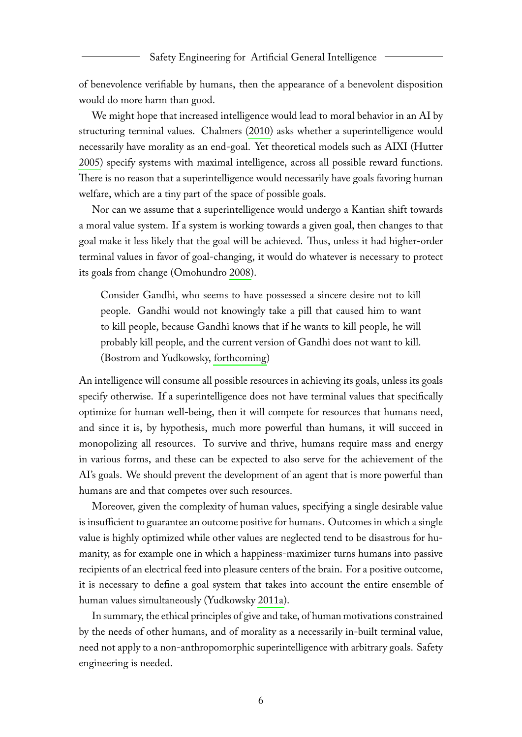of benevolence verifiable by humans, then the appearance of a benevolent disposition would do more harm than good.

We might hope that increased intelligence would lead to moral behavior in an AI by structuring terminal values. Chalmers [\(2010\)](#page-16-0) asks whether a superintelligence would necessarily have morality as an end-goal. Yet theoretical models such as AIXI (Hutter [2005\)](#page-17-14) specify systems with maximal intelligence, across all possible reward functions. There is no reason that a superintelligence would necessarily have goals favoring human welfare, which are a tiny part of the space of possible goals.

Nor can we assume that a superintelligence would undergo a Kantian shift towards a moral value system. If a system is working towards a given goal, then changes to that goal make it less likely that the goal will be achieved. Thus, unless it had higher-order terminal values in favor of goal-changing, it would do whatever is necessary to protect its goals from change (Omohundro [2008\)](#page-18-9).

Consider Gandhi, who seems to have possessed a sincere desire not to kill people. Gandhi would not knowingly take a pill that caused him to want to kill people, because Gandhi knows that if he wants to kill people, he will probably kill people, and the current version of Gandhi does not want to kill. (Bostrom and Yudkowsky, [forthcoming\)](#page-15-5)

An intelligence will consume all possible resources in achieving its goals, unless its goals specify otherwise. If a superintelligence does not have terminal values that specifically optimize for human well-being, then it will compete for resources that humans need, and since it is, by hypothesis, much more powerful than humans, it will succeed in monopolizing all resources. To survive and thrive, humans require mass and energy in various forms, and these can be expected to also serve for the achievement of the AI's goals. We should prevent the development of an agent that is more powerful than humans are and that competes over such resources.

Moreover, given the complexity of human values, specifying a single desirable value is insufficient to guarantee an outcome positive for humans. Outcomes in which a single value is highly optimized while other values are neglected tend to be disastrous for humanity, as for example one in which a happiness-maximizer turns humans into passive recipients of an electrical feed into pleasure centers of the brain. For a positive outcome, it is necessary to define a goal system that takes into account the entire ensemble of human values simultaneously (Yudkowsky [2011a\)](#page-20-2).

In summary, the ethical principles of give and take, of human motivations constrained by the needs of other humans, and of morality as a necessarily in-built terminal value, need not apply to a non-anthropomorphic superintelligence with arbitrary goals. Safety engineering is needed.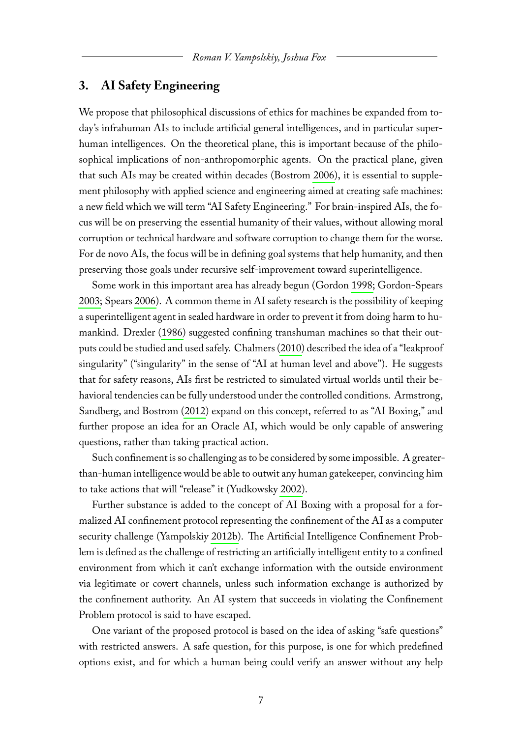### **3. AI Safety Engineering**

We propose that philosophical discussions of ethics for machines be expanded from today's infrahuman AIs to include artificial general intelligences, and in particular superhuman intelligences. On the theoretical plane, this is important because of the philosophical implications of non-anthropomorphic agents. On the practical plane, given that such AIs may be created within decades (Bostrom [2006\)](#page-15-7), it is essential to supplement philosophy with applied science and engineering aimed at creating safe machines: a new field which we will term "AI Safety Engineering." For brain-inspired AIs, the focus will be on preserving the essential humanity of their values, without allowing moral corruption or technical hardware and software corruption to change them for the worse. For de novo AIs, the focus will be in defining goal systems that help humanity, and then preserving those goals under recursive self-improvement toward superintelligence.

Some work in this important area has already begun (Gordon [1998;](#page-16-9) Gordon-Spears [2003;](#page-16-3) Spears [2006\)](#page-18-15). A common theme in AI safety research is the possibility of keeping a superintelligent agent in sealed hardware in order to prevent it from doing harm to humankind. Drexler [\(1986\)](#page-16-10) suggested confining transhuman machines so that their outputs could be studied and used safely. Chalmers [\(2010\)](#page-16-0) described the idea of a "leakproof singularity" ("singularity" in the sense of "AI at human level and above"). He suggests that for safety reasons, AIs first be restricted to simulated virtual worlds until their behavioral tendencies can be fully understood under the controlled conditions. Armstrong, Sandberg, and Bostrom [\(2012\)](#page-15-8) expand on this concept, referred to as "AI Boxing," and further propose an idea for an Oracle AI, which would be only capable of answering questions, rather than taking practical action.

Such confinement is so challenging as to be considered by some impossible. A greaterthan-human intelligence would be able to outwit any human gatekeeper, convincing him to take actions that will "release" it (Yudkowsky [2002\)](#page-20-3).

Further substance is added to the concept of AI Boxing with a proposal for a formalized AI confinement protocol representing the confinement of the AI as a computer security challenge (Yampolskiy [2012b\)](#page-19-9). The Artificial Intelligence Confinement Problem is defined as the challenge of restricting an artificially intelligent entity to a confined environment from which it can't exchange information with the outside environment via legitimate or covert channels, unless such information exchange is authorized by the confinement authority. An AI system that succeeds in violating the Confinement Problem protocol is said to have escaped.

One variant of the proposed protocol is based on the idea of asking "safe questions" with restricted answers. A safe question, for this purpose, is one for which predefined options exist, and for which a human being could verify an answer without any help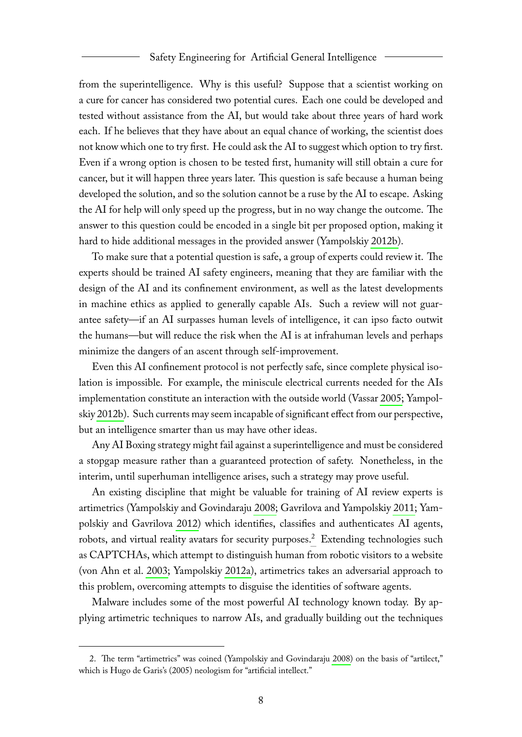from the superintelligence. Why is this useful? Suppose that a scientist working on a cure for cancer has considered two potential cures. Each one could be developed and tested without assistance from the AI, but would take about three years of hard work each. If he believes that they have about an equal chance of working, the scientist does not know which one to try first. He could ask the AI to suggest which option to try first. Even if a wrong option is chosen to be tested first, humanity will still obtain a cure for cancer, but it will happen three years later. This question is safe because a human being developed the solution, and so the solution cannot be a ruse by the AI to escape. Asking the AI for help will only speed up the progress, but in no way change the outcome. The answer to this question could be encoded in a single bit per proposed option, making it hard to hide additional messages in the provided answer (Yampolskiy [2012b\)](#page-19-9).

To make sure that a potential question is safe, a group of experts could review it. The experts should be trained AI safety engineers, meaning that they are familiar with the design of the AI and its confinement environment, as well as the latest developments in machine ethics as applied to generally capable AIs. Such a review will not guarantee safety—if an AI surpasses human levels of intelligence, it can ipso facto outwit the humans—but will reduce the risk when the AI is at infrahuman levels and perhaps minimize the dangers of an ascent through self-improvement.

Even this AI confinement protocol is not perfectly safe, since complete physical isolation is impossible. For example, the miniscule electrical currents needed for the AIs implementation constitute an interaction with the outside world (Vassar [2005;](#page-18-16) Yampolskiy [2012b\)](#page-19-9). Such currents may seem incapable of significant effect from our perspective, but an intelligence smarter than us may have other ideas.

Any AI Boxing strategy might fail against a superintelligence and must be considered a stopgap measure rather than a guaranteed protection of safety. Nonetheless, in the interim, until superhuman intelligence arises, such a strategy may prove useful.

An existing discipline that might be valuable for training of AI review experts is artimetrics (Yampolskiy and Govindaraju [2008;](#page-19-10) Gavrilova and Yampolskiy [2011;](#page-16-11) Yampolskiy and Gavrilova [2012\)](#page-19-11) which identifies, classifies and authenticates AI agents, robots, and virtual reality avatars for security purposes.<sup>[2](#page-8-0)</sup> Extending technologies such as CAPTCHAs, which attempt to distinguish human from robotic visitors to a website (von Ahn et al. [2003;](#page-19-12) Yampolskiy [2012a\)](#page-19-13), artimetrics takes an adversarial approach to this problem, overcoming attempts to disguise the identities of software agents.

Malware includes some of the most powerful AI technology known today. By applying artimetric techniques to narrow AIs, and gradually building out the techniques

<span id="page-8-0"></span><sup>2.</sup> The term "artimetrics" was coined (Yampolskiy and Govindaraju [2008\)](#page-19-10) on the basis of "artilect," which is Hugo de Garis's (2005) neologism for "artificial intellect."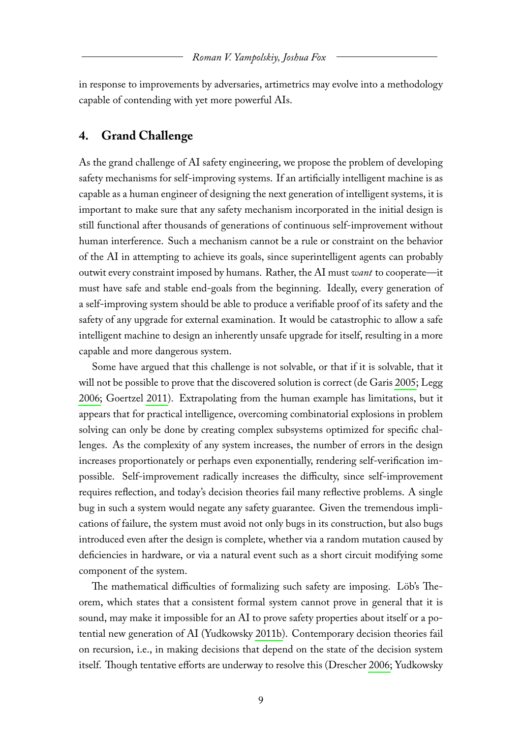in response to improvements by adversaries, artimetrics may evolve into a methodology capable of contending with yet more powerful AIs.

## **4. Grand Challenge**

As the grand challenge of AI safety engineering, we propose the problem of developing safety mechanisms for self-improving systems. If an artificially intelligent machine is as capable as a human engineer of designing the next generation of intelligent systems, it is important to make sure that any safety mechanism incorporated in the initial design is still functional after thousands of generations of continuous self-improvement without human interference. Such a mechanism cannot be a rule or constraint on the behavior of the AI in attempting to achieve its goals, since superintelligent agents can probably outwit every constraint imposed by humans. Rather, the AI must *want* to cooperate—it must have safe and stable end-goals from the beginning. Ideally, every generation of a self-improving system should be able to produce a verifiable proof of its safety and the safety of any upgrade for external examination. It would be catastrophic to allow a safe intelligent machine to design an inherently unsafe upgrade for itself, resulting in a more capable and more dangerous system.

Some have argued that this challenge is not solvable, or that if it is solvable, that it will not be possible to prove that the discovered solution is correct (de Garis [2005;](#page-16-12) Legg [2006;](#page-17-15) Goertzel [2011\)](#page-16-13). Extrapolating from the human example has limitations, but it appears that for practical intelligence, overcoming combinatorial explosions in problem solving can only be done by creating complex subsystems optimized for specific challenges. As the complexity of any system increases, the number of errors in the design increases proportionately or perhaps even exponentially, rendering self-verification impossible. Self-improvement radically increases the difficulty, since self-improvement requires reflection, and today's decision theories fail many reflective problems. A single bug in such a system would negate any safety guarantee. Given the tremendous implications of failure, the system must avoid not only bugs in its construction, but also bugs introduced even after the design is complete, whether via a random mutation caused by deficiencies in hardware, or via a natural event such as a short circuit modifying some component of the system.

The mathematical difficulties of formalizing such safety are imposing. Löb's Theorem, which states that a consistent formal system cannot prove in general that it is sound, may make it impossible for an AI to prove safety properties about itself or a potential new generation of AI (Yudkowsky [2011b\)](#page-20-4). Contemporary decision theories fail on recursion, i.e., in making decisions that depend on the state of the decision system itself. Though tentative efforts are underway to resolve this (Drescher [2006;](#page-16-14) Yudkowsky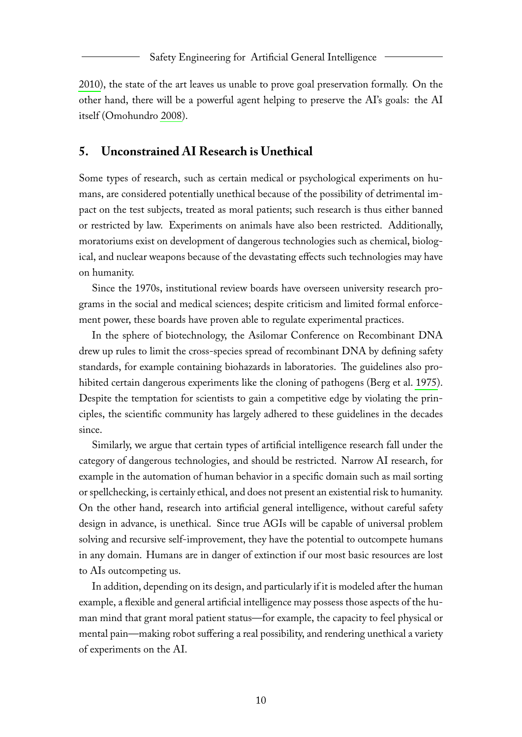[2010\)](#page-20-5), the state of the art leaves us unable to prove goal preservation formally. On the other hand, there will be a powerful agent helping to preserve the AI's goals: the AI itself (Omohundro [2008\)](#page-18-9).

## **5. Unconstrained AI Research is Unethical**

Some types of research, such as certain medical or psychological experiments on humans, are considered potentially unethical because of the possibility of detrimental impact on the test subjects, treated as moral patients; such research is thus either banned or restricted by law. Experiments on animals have also been restricted. Additionally, moratoriums exist on development of dangerous technologies such as chemical, biological, and nuclear weapons because of the devastating effects such technologies may have on humanity.

Since the 1970s, institutional review boards have overseen university research programs in the social and medical sciences; despite criticism and limited formal enforcement power, these boards have proven able to regulate experimental practices.

In the sphere of biotechnology, the Asilomar Conference on Recombinant DNA drew up rules to limit the cross-species spread of recombinant DNA by defining safety standards, for example containing biohazards in laboratories. The guidelines also prohibited certain dangerous experiments like the cloning of pathogens (Berg et al. [1975\)](#page-15-9). Despite the temptation for scientists to gain a competitive edge by violating the principles, the scientific community has largely adhered to these guidelines in the decades since.

Similarly, we argue that certain types of artificial intelligence research fall under the category of dangerous technologies, and should be restricted. Narrow AI research, for example in the automation of human behavior in a specific domain such as mail sorting or spellchecking, is certainly ethical, and does not present an existential risk to humanity. On the other hand, research into artificial general intelligence, without careful safety design in advance, is unethical. Since true AGIs will be capable of universal problem solving and recursive self-improvement, they have the potential to outcompete humans in any domain. Humans are in danger of extinction if our most basic resources are lost to AIs outcompeting us.

In addition, depending on its design, and particularly if it is modeled after the human example, a flexible and general artificial intelligence may possess those aspects of the human mind that grant moral patient status—for example, the capacity to feel physical or mental pain—making robot suffering a real possibility, and rendering unethical a variety of experiments on the AI.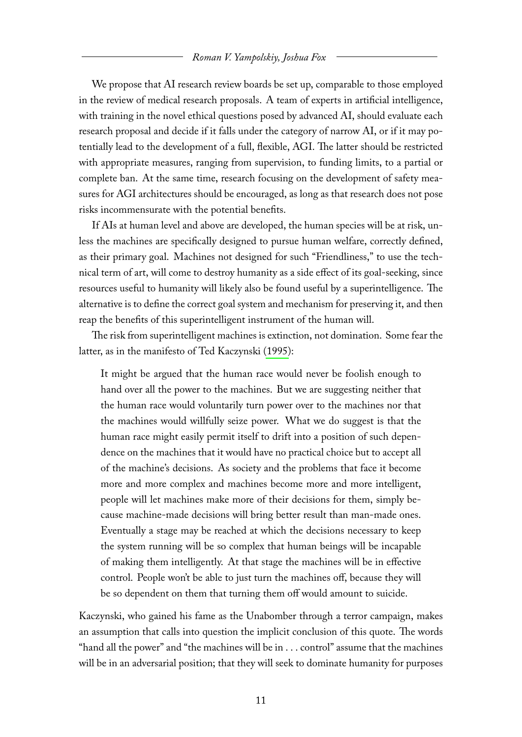We propose that AI research review boards be set up, comparable to those employed in the review of medical research proposals. A team of experts in artificial intelligence, with training in the novel ethical questions posed by advanced AI, should evaluate each research proposal and decide if it falls under the category of narrow AI, or if it may potentially lead to the development of a full, flexible, AGI. The latter should be restricted with appropriate measures, ranging from supervision, to funding limits, to a partial or complete ban. At the same time, research focusing on the development of safety measures for AGI architectures should be encouraged, as long as that research does not pose risks incommensurate with the potential benefits.

If AIs at human level and above are developed, the human species will be at risk, unless the machines are specifically designed to pursue human welfare, correctly defined, as their primary goal. Machines not designed for such "Friendliness," to use the technical term of art, will come to destroy humanity as a side effect of its goal-seeking, since resources useful to humanity will likely also be found useful by a superintelligence. The alternative is to define the correct goal system and mechanism for preserving it, and then reap the benefits of this superintelligent instrument of the human will.

The risk from superintelligent machines is extinction, not domination. Some fear the latter, as in the manifesto of Ted Kaczynski [\(1995\)](#page-17-16):

It might be argued that the human race would never be foolish enough to hand over all the power to the machines. But we are suggesting neither that the human race would voluntarily turn power over to the machines nor that the machines would willfully seize power. What we do suggest is that the human race might easily permit itself to drift into a position of such dependence on the machines that it would have no practical choice but to accept all of the machine's decisions. As society and the problems that face it become more and more complex and machines become more and more intelligent, people will let machines make more of their decisions for them, simply because machine-made decisions will bring better result than man-made ones. Eventually a stage may be reached at which the decisions necessary to keep the system running will be so complex that human beings will be incapable of making them intelligently. At that stage the machines will be in effective control. People won't be able to just turn the machines off, because they will be so dependent on them that turning them off would amount to suicide.

Kaczynski, who gained his fame as the Unabomber through a terror campaign, makes an assumption that calls into question the implicit conclusion of this quote. The words "hand all the power" and "the machines will be in . . . control" assume that the machines will be in an adversarial position; that they will seek to dominate humanity for purposes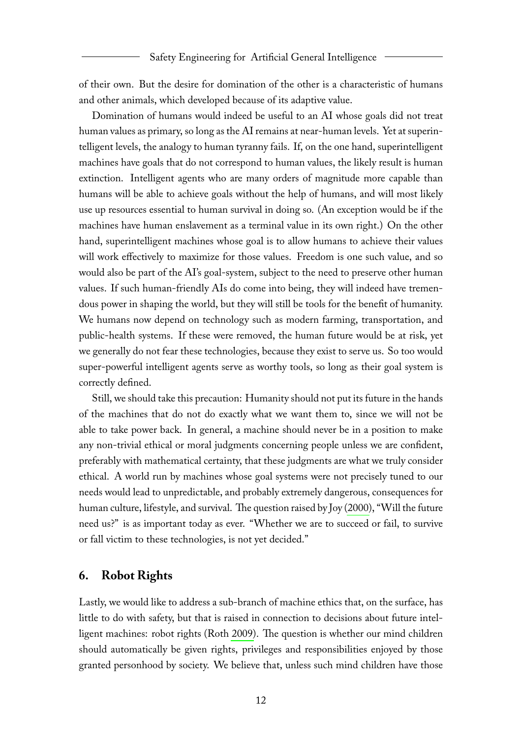of their own. But the desire for domination of the other is a characteristic of humans and other animals, which developed because of its adaptive value.

Domination of humans would indeed be useful to an AI whose goals did not treat human values as primary, so long as the AI remains at near-human levels. Yet at superintelligent levels, the analogy to human tyranny fails. If, on the one hand, superintelligent machines have goals that do not correspond to human values, the likely result is human extinction. Intelligent agents who are many orders of magnitude more capable than humans will be able to achieve goals without the help of humans, and will most likely use up resources essential to human survival in doing so. (An exception would be if the machines have human enslavement as a terminal value in its own right.) On the other hand, superintelligent machines whose goal is to allow humans to achieve their values will work effectively to maximize for those values. Freedom is one such value, and so would also be part of the AI's goal-system, subject to the need to preserve other human values. If such human-friendly AIs do come into being, they will indeed have tremendous power in shaping the world, but they will still be tools for the benefit of humanity. We humans now depend on technology such as modern farming, transportation, and public-health systems. If these were removed, the human future would be at risk, yet we generally do not fear these technologies, because they exist to serve us. So too would super-powerful intelligent agents serve as worthy tools, so long as their goal system is correctly defined.

Still, we should take this precaution: Humanity should not put its future in the hands of the machines that do not do exactly what we want them to, since we will not be able to take power back. In general, a machine should never be in a position to make any non-trivial ethical or moral judgments concerning people unless we are confident, preferably with mathematical certainty, that these judgments are what we truly consider ethical. A world run by machines whose goal systems were not precisely tuned to our needs would lead to unpredictable, and probably extremely dangerous, consequences for human culture, lifestyle, and survival. The question raised by Joy [\(2000\)](#page-17-17), "Will the future need us?" is as important today as ever. "Whether we are to succeed or fail, to survive or fall victim to these technologies, is not yet decided."

## **6. Robot Rights**

Lastly, we would like to address a sub-branch of machine ethics that, on the surface, has little to do with safety, but that is raised in connection to decisions about future intelligent machines: robot rights (Roth [2009\)](#page-18-17). The question is whether our mind children should automatically be given rights, privileges and responsibilities enjoyed by those granted personhood by society. We believe that, unless such mind children have those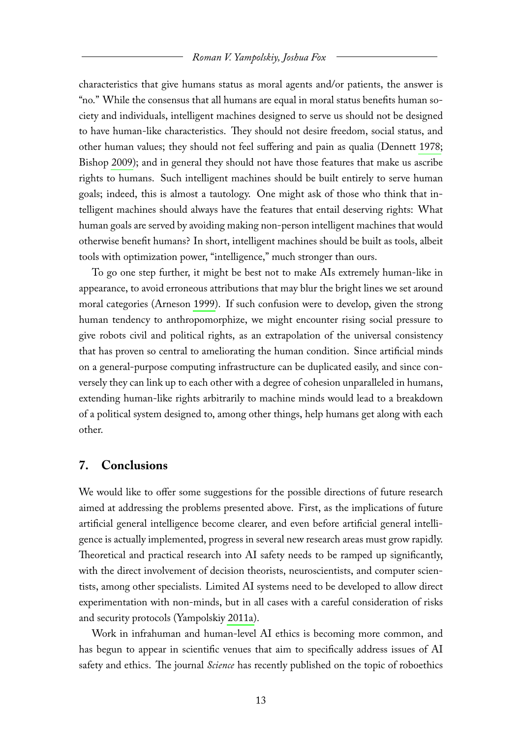#### *Roman V. Yampolskiy, Joshua Fox*

characteristics that give humans status as moral agents and/or patients, the answer is "no." While the consensus that all humans are equal in moral status benefits human society and individuals, intelligent machines designed to serve us should not be designed to have human-like characteristics. They should not desire freedom, social status, and other human values; they should not feel suffering and pain as qualia (Dennett [1978;](#page-16-15) Bishop [2009\)](#page-15-10); and in general they should not have those features that make us ascribe rights to humans. Such intelligent machines should be built entirely to serve human goals; indeed, this is almost a tautology. One might ask of those who think that intelligent machines should always have the features that entail deserving rights: What human goals are served by avoiding making non-person intelligent machines that would otherwise benefit humans? In short, intelligent machines should be built as tools, albeit tools with optimization power, "intelligence," much stronger than ours.

To go one step further, it might be best not to make AIs extremely human-like in appearance, to avoid erroneous attributions that may blur the bright lines we set around moral categories (Arneson [1999\)](#page-15-11). If such confusion were to develop, given the strong human tendency to anthropomorphize, we might encounter rising social pressure to give robots civil and political rights, as an extrapolation of the universal consistency that has proven so central to ameliorating the human condition. Since artificial minds on a general-purpose computing infrastructure can be duplicated easily, and since conversely they can link up to each other with a degree of cohesion unparalleled in humans, extending human-like rights arbitrarily to machine minds would lead to a breakdown of a political system designed to, among other things, help humans get along with each other.

### **7. Conclusions**

We would like to offer some suggestions for the possible directions of future research aimed at addressing the problems presented above. First, as the implications of future artificial general intelligence become clearer, and even before artificial general intelligence is actually implemented, progress in several new research areas must grow rapidly. Theoretical and practical research into AI safety needs to be ramped up significantly, with the direct involvement of decision theorists, neuroscientists, and computer scientists, among other specialists. Limited AI systems need to be developed to allow direct experimentation with non-minds, but in all cases with a careful consideration of risks and security protocols (Yampolskiy [2011a\)](#page-19-14).

Work in infrahuman and human-level AI ethics is becoming more common, and has begun to appear in scientific venues that aim to specifically address issues of AI safety and ethics. The journal *Science* has recently published on the topic of roboethics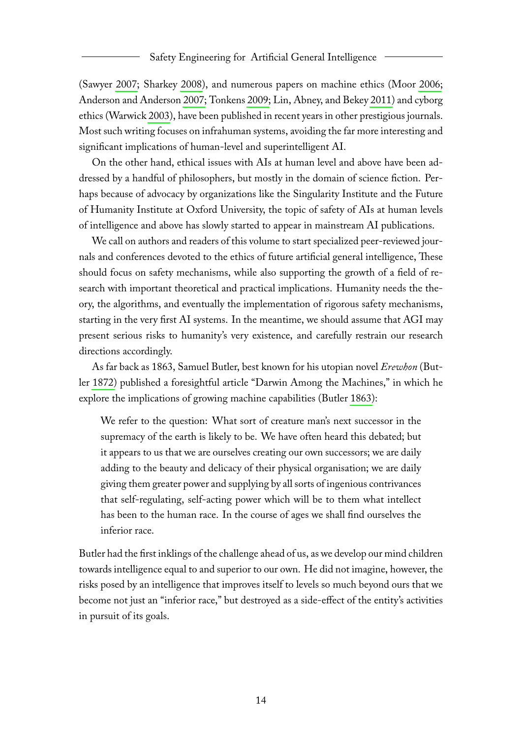(Sawyer [2007;](#page-18-2) Sharkey [2008\)](#page-18-3), and numerous papers on machine ethics (Moor [2006;](#page-17-0) Anderson and Anderson [2007;](#page-15-1) Tonkens [2009;](#page-18-0) Lin, Abney, and Bekey [2011\)](#page-17-3) and cyborg ethics (Warwick [2003\)](#page-19-2), have been published in recent years in other prestigious journals. Most such writing focuses on infrahuman systems, avoiding the far more interesting and significant implications of human-level and superintelligent AI.

On the other hand, ethical issues with AIs at human level and above have been addressed by a handful of philosophers, but mostly in the domain of science fiction. Perhaps because of advocacy by organizations like the Singularity Institute and the Future of Humanity Institute at Oxford University, the topic of safety of AIs at human levels of intelligence and above has slowly started to appear in mainstream AI publications.

We call on authors and readers of this volume to start specialized peer-reviewed journals and conferences devoted to the ethics of future artificial general intelligence, These should focus on safety mechanisms, while also supporting the growth of a field of research with important theoretical and practical implications. Humanity needs the theory, the algorithms, and eventually the implementation of rigorous safety mechanisms, starting in the very first AI systems. In the meantime, we should assume that AGI may present serious risks to humanity's very existence, and carefully restrain our research directions accordingly.

As far back as 1863, Samuel Butler, best known for his utopian novel *Erewhon* (Butler [1872\)](#page-15-12) published a foresightful article "Darwin Among the Machines," in which he explore the implications of growing machine capabilities (Butler [1863\)](#page-15-13):

We refer to the question: What sort of creature man's next successor in the supremacy of the earth is likely to be. We have often heard this debated; but it appears to us that we are ourselves creating our own successors; we are daily adding to the beauty and delicacy of their physical organisation; we are daily giving them greater power and supplying by all sorts of ingenious contrivances that self-regulating, self-acting power which will be to them what intellect has been to the human race. In the course of ages we shall find ourselves the inferior race.

Butler had the first inklings of the challenge ahead of us, as we develop our mind children towards intelligence equal to and superior to our own. He did not imagine, however, the risks posed by an intelligence that improves itself to levels so much beyond ours that we become not just an "inferior race," but destroyed as a side-effect of the entity's activities in pursuit of its goals.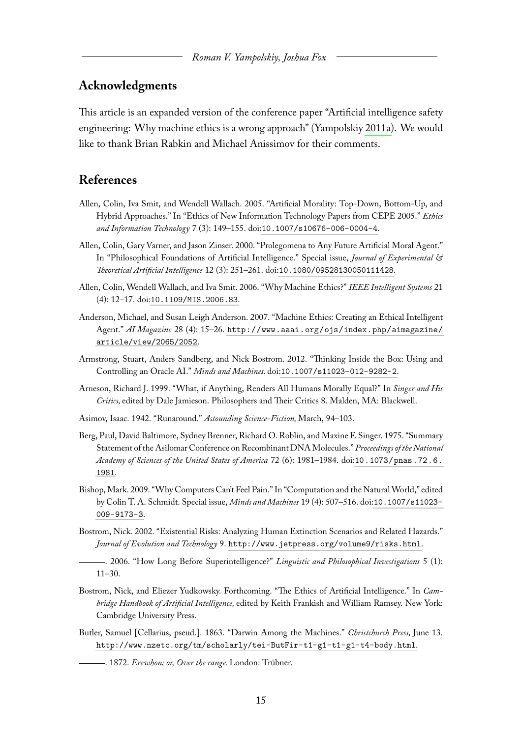### **Acknowledgments**

This article is an expanded version of the conference paper "Artificial intelligence safety engineering: Why machine ethics is a wrong approach" (Yampolskiy [2011a\)](#page-19-14). We would like to thank Brian Rabkin and Michael Anissimov for their comments.

## **References**

- <span id="page-15-2"></span>Allen, Colin, Iva Smit, and Wendell Wallach. 2005. "Artificial Morality: Top-Down, Bottom-Up, and Hybrid Approaches." In "Ethics of New Information Technology Papers from CEPE 2005." *Ethics and Information Technology* 7 (3): 149–155. doi:[10.1007/s10676-006-0004-4](http://dx.doi.org/10.1007/s10676-006-0004-4).
- <span id="page-15-6"></span>Allen, Colin, Gary Varner, and Jason Zinser. 2000. "Prolegomena to Any Future Artificial Moral Agent." In "Philosophical Foundations of Artificial Intelligence." Special issue, *Journal of Experimental & Theoretical Artificial Intelligence* 12 (3): 251–261. doi:[10.1080/09528130050111428](http://dx.doi.org/10.1080/09528130050111428).
- <span id="page-15-0"></span>Allen, Colin, Wendell Wallach, and Iva Smit. 2006. "Why Machine Ethics?" *IEEE Intelligent Systems* 21 (4): 12–17. doi:[10.1109/MIS.2006.83](http://dx.doi.org/10.1109/MIS.2006.83).
- <span id="page-15-1"></span>Anderson, Michael, and Susan Leigh Anderson. 2007. "Machine Ethics: Creating an Ethical Intelligent Agent." *AI Magazine* 28 (4): 15–26. [http://www.aaai.org/ojs/index.php/aimagazine/](http://www.aaai.org/ojs/index.php/aimagazine/article/view/2065/2052) [article/view/2065/2052](http://www.aaai.org/ojs/index.php/aimagazine/article/view/2065/2052).
- <span id="page-15-8"></span>Armstrong, Stuart, Anders Sandberg, and Nick Bostrom. 2012. "Thinking Inside the Box: Using and Controlling an Oracle AI." *Minds and Machines.* doi:[10.1007/s11023-012-9282-2](http://dx.doi.org/10.1007/s11023-012-9282-2).
- <span id="page-15-11"></span>Arneson, Richard J. 1999. "What, if Anything, Renders All Humans Morally Equal?" In *Singer and His Critics,* edited by Dale Jamieson. Philosophers and Their Critics 8. Malden, MA: Blackwell.
- <span id="page-15-3"></span>Asimov, Isaac. 1942. "Runaround." *Astounding Science-Fiction,* March, 94–103.
- <span id="page-15-9"></span>Berg, Paul, David Baltimore, Sydney Brenner, Richard O. Roblin, and Maxine F. Singer. 1975. "Summary Statement of the Asilomar Conference on Recombinant DNA Molecules." *Proceedings of the National Academy of Sciences of the United States of America* 72 (6): 1981–1984. doi:[10.1073/pnas.72.6.](http://dx.doi.org/10.1073/pnas.72.6.1981) [1981](http://dx.doi.org/10.1073/pnas.72.6.1981).
- <span id="page-15-10"></span>Bishop, Mark. 2009. "Why Computers Can't Feel Pain." In "Computation and the Natural World," edited by Colin T. A. Schmidt. Special issue, *Minds and Machines* 19 (4): 507–516. doi:[10.1007/s11023-](http://dx.doi.org/10.1007/s11023-009-9173-3) [009-9173-3](http://dx.doi.org/10.1007/s11023-009-9173-3).
- <span id="page-15-4"></span>Bostrom, Nick. 2002. "Existential Risks: Analyzing Human Extinction Scenarios and Related Hazards." *Journal of Evolution and Technology* 9. <http://www.jetpress.org/volume9/risks.html>.

<span id="page-15-7"></span>. 2006. "How Long Before Superintelligence?" *Linguistic and Philosophical Investigations* 5 (1): 11–30.

- <span id="page-15-5"></span>Bostrom, Nick, and Eliezer Yudkowsky. Forthcoming. "The Ethics of Artificial Intelligence." In *Cambridge Handbook of Artificial Intelligence,* edited by Keith Frankish and William Ramsey. New York: Cambridge University Press.
- <span id="page-15-13"></span>Butler, Samuel [Cellarius, pseud.]. 1863. "Darwin Among the Machines." *Christchurch Press,* June 13. <http://www.nzetc.org/tm/scholarly/tei-ButFir-t1-g1-t1-g1-t4-body.html>.

<span id="page-15-12"></span>. 1872. *Erewhon; or, Over the range.* London: Trübner.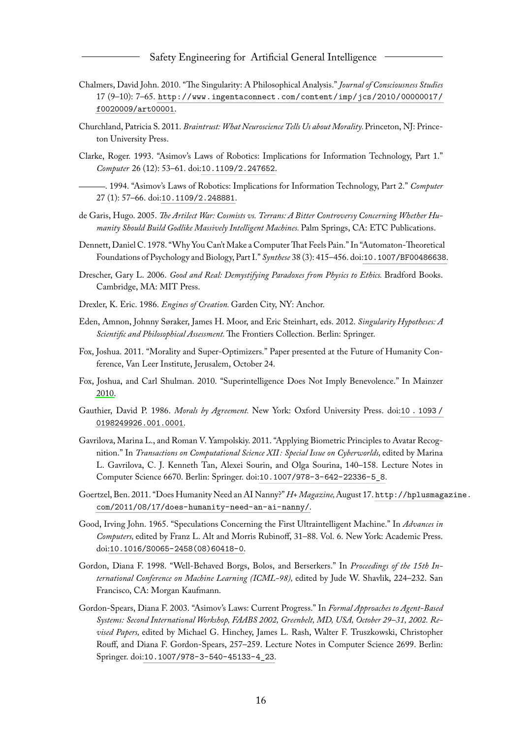#### Safety Engineering for Artificial General Intelligence

- <span id="page-16-0"></span>Chalmers, David John. 2010. "The Singularity: A Philosophical Analysis." *Journal of Consciousness Studies* 17 (9–10): 7–65. [http://www.ingentaconnect.com/content/imp/jcs/2010/00000017/](http://www.ingentaconnect.com/content/imp/jcs/2010/00000017/f0020009/art00001) [f0020009/art00001](http://www.ingentaconnect.com/content/imp/jcs/2010/00000017/f0020009/art00001).
- <span id="page-16-2"></span>Churchland, Patricia S. 2011. *Braintrust: What Neuroscience Tells Us about Morality.*Princeton, NJ: Princeton University Press.
- <span id="page-16-5"></span><span id="page-16-4"></span>Clarke, Roger. 1993. "Asimov's Laws of Robotics: Implications for Information Technology, Part 1." *Computer* 26 (12): 53–61. doi:[10.1109/2.247652](http://dx.doi.org/10.1109/2.247652).
	- . 1994. "Asimov's Laws of Robotics: Implications for Information Technology, Part 2." *Computer* 27 (1): 57–66. doi:[10.1109/2.248881](http://dx.doi.org/10.1109/2.248881).
- <span id="page-16-12"></span>de Garis, Hugo. 2005. *The Artilect War: Cosmists vs. Terrans: A Bitter Controversy Concerning Whether Humanity Should Build Godlike Massively Intelligent Machines.* Palm Springs, CA: ETC Publications.
- <span id="page-16-15"></span>Dennett, Daniel C. 1978. "Why You Can't Make a Computer That Feels Pain." In "Automaton-Theoretical Foundations of Psychology and Biology, Part I." *Synthese* 38 (3): 415–456. doi:[10.1007/BF00486638](http://dx.doi.org/10.1007/BF00486638).
- <span id="page-16-14"></span>Drescher, Gary L. 2006. *Good and Real: Demystifying Paradoxes from Physics to Ethics.* Bradford Books. Cambridge, MA: MIT Press.
- <span id="page-16-10"></span>Drexler, K. Eric. 1986. *Engines of Creation.* Garden City, NY: Anchor.
- <span id="page-16-16"></span>Eden, Amnon, Johnny Søraker, James H. Moor, and Eric Steinhart, eds. 2012. *Singularity Hypotheses: A Scientific and Philosophical Assessment.*The Frontiers Collection. Berlin: Springer.
- <span id="page-16-6"></span>Fox, Joshua. 2011. "Morality and Super-Optimizers." Paper presented at the Future of Humanity Conference, Van Leer Institute, Jerusalem, October 24.
- <span id="page-16-7"></span>Fox, Joshua, and Carl Shulman. 2010. "Superintelligence Does Not Imply Benevolence." In Mainzer [2010.](#page-17-18)
- <span id="page-16-8"></span>Gauthier, David P. 1986. *Morals by Agreement.* New York: Oxford University Press. doi:[10 . 1093 /](http://dx.doi.org/10.1093/0198249926.001.0001) [0198249926.001.0001](http://dx.doi.org/10.1093/0198249926.001.0001).
- <span id="page-16-11"></span>Gavrilova, Marina L., and Roman V. Yampolskiy. 2011. "Applying Biometric Principles to Avatar Recognition." In *Transactions on Computational Science XII : Special Issue on Cyberworlds,* edited by Marina L. Gavrilova, C. J. Kenneth Tan, Alexei Sourin, and Olga Sourina, 140–158. Lecture Notes in Computer Science 6670. Berlin: Springer. doi:[10.1007/978-3-642-22336-5\\_8](http://dx.doi.org/10.1007/978-3-642-22336-5_8).
- <span id="page-16-13"></span>Goertzel, Ben. 2011. "Does Humanity Need an AI Nanny?" *H+Magazine,*August 17. [http://hplusmag](http://hplusmagazine.com/2011/08/17/does-humanity-need-an-ai-nanny/)azine. [com/2011/08/17/does-humanity-need-an-ai-nanny/](http://hplusmagazine.com/2011/08/17/does-humanity-need-an-ai-nanny/).
- <span id="page-16-1"></span>Good, Irving John. 1965. "Speculations Concerning the First Ultraintelligent Machine." In *Advances in Computers,* edited by Franz L. Alt and Morris Rubinoff, 31–88. Vol. 6. New York: Academic Press. doi:[10.1016/S0065-2458\(08\)60418-0](http://dx.doi.org/10.1016/S0065-2458(08)60418-0).
- <span id="page-16-9"></span>Gordon, Diana F. 1998. "Well-Behaved Borgs, Bolos, and Berserkers." In *Proceedings of the 15th International Conference on Machine Learning (ICML-98),* edited by Jude W. Shavlik, 224–232. San Francisco, CA: Morgan Kaufmann.
- <span id="page-16-3"></span>Gordon-Spears, Diana F. 2003. "Asimov's Laws: Current Progress." In *Formal Approaches to Agent-Based Systems: Second International Workshop, FAABS 2002, Greenbelt, MD, USA, October 29–31, 2002. Revised Papers,* edited by Michael G. Hinchey, James L. Rash, Walter F. Truszkowski, Christopher Rouff, and Diana F. Gordon-Spears, 257–259. Lecture Notes in Computer Science 2699. Berlin: Springer. doi:[10.1007/978-3-540-45133-4\\_23](http://dx.doi.org/10.1007/978-3-540-45133-4_23).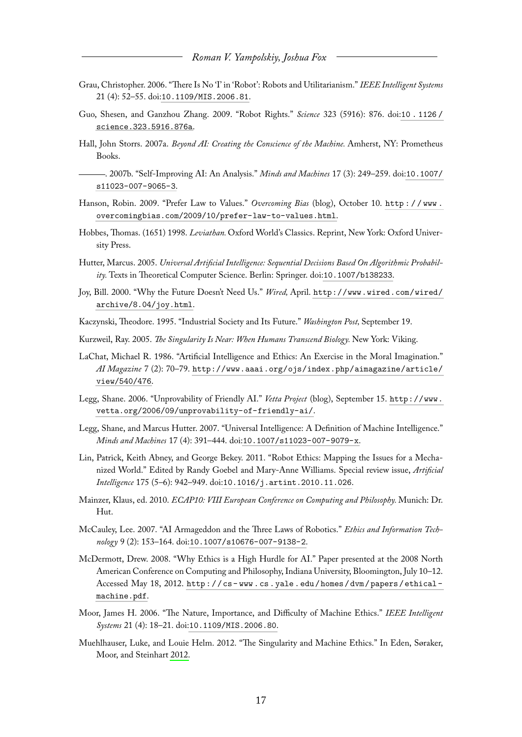- <span id="page-17-5"></span>Grau, Christopher. 2006. "There Is No 'I' in 'Robot': Robots and Utilitarianism." *IEEE Intelligent Systems* 21 (4): 52–55. doi:[10.1109/MIS.2006.81](http://dx.doi.org/10.1109/MIS.2006.81).
- <span id="page-17-4"></span>Guo, Shesen, and Ganzhou Zhang. 2009. "Robot Rights." *Science* 323 (5916): 876. doi:[10 . 1126 /](http://dx.doi.org/10.1126/science.323.5916.876a) [science.323.5916.876a](http://dx.doi.org/10.1126/science.323.5916.876a).
- <span id="page-17-1"></span>Hall, John Storrs. 2007a. *Beyond AI: Creating the Conscience of the Machine.* Amherst, NY: Prometheus Books.
- <span id="page-17-6"></span>. 2007b. "Self-Improving AI: An Analysis." *Minds and Machines* 17 (3): 249–259. doi:[10.1007/](http://dx.doi.org/10.1007/s11023-007-9065-3) [s11023-007-9065-3](http://dx.doi.org/10.1007/s11023-007-9065-3).
- <span id="page-17-12"></span>Hanson, Robin. 2009. "Prefer Law to Values." *Overcoming Bias* (blog), October 10. [http : / / www .](http://www.overcomingbias.com/2009/10/prefer-law-to-values.html) [overcomingbias.com/2009/10/prefer-law-to-values.html](http://www.overcomingbias.com/2009/10/prefer-law-to-values.html).
- <span id="page-17-13"></span>Hobbes, Thomas. (1651) 1998. *Leviathan.* Oxford World's Classics. Reprint, New York: Oxford University Press.
- <span id="page-17-14"></span>Hutter, Marcus. 2005. *Universal Artificial Intelligence: Sequential Decisions Based On Algorithmic Probability.* Texts in Theoretical Computer Science. Berlin: Springer. doi:[10.1007/b138233](http://dx.doi.org/10.1007/b138233).
- <span id="page-17-17"></span>Joy, Bill. 2000. "Why the Future Doesn't Need Us." *Wired,* April. [http://www.wired.com/wired/](http://www.wired.com/wired/archive/8.04/joy.html) [archive/8.04/joy.html](http://www.wired.com/wired/archive/8.04/joy.html).
- <span id="page-17-16"></span>Kaczynski, Theodore. 1995. "Industrial Society and Its Future." *Washington Post,* September 19.
- <span id="page-17-7"></span>Kurzweil, Ray. 2005. *The Singularity Is Near: When Humans Transcend Biology.* New York: Viking.
- <span id="page-17-10"></span>LaChat, Michael R. 1986. "Artificial Intelligence and Ethics: An Exercise in the Moral Imagination." *AI Magazine* 7 (2): 70–79. [http://www.aaai.org/ojs/index.php/aimagazine/article/](http://www.aaai.org/ojs/index.php/aimagazine/article/view/540/476) [view/540/476](http://www.aaai.org/ojs/index.php/aimagazine/article/view/540/476).
- <span id="page-17-15"></span>Legg, Shane. 2006. "Unprovability of Friendly AI." *Vetta Project* (blog), September 15. [http://www.](http://www.vetta.org/2006/09/unprovability-of-friendly-ai/) [vetta.org/2006/09/unprovability-of-friendly-ai/](http://www.vetta.org/2006/09/unprovability-of-friendly-ai/).
- <span id="page-17-8"></span>Legg, Shane, and Marcus Hutter. 2007. "Universal Intelligence: A Definition of Machine Intelligence." *Minds and Machines* 17 (4): 391–444. doi:[10.1007/s11023-007-9079-x](http://dx.doi.org/10.1007/s11023-007-9079-x).
- <span id="page-17-3"></span>Lin, Patrick, Keith Abney, and George Bekey. 2011. "Robot Ethics: Mapping the Issues for a Mechanized World." Edited by Randy Goebel and Mary-Anne Williams. Special review issue, *Artificial Intelligence* 175 (5–6): 942–949. doi:[10.1016/j.artint.2010.11.026](http://dx.doi.org/10.1016/j.artint.2010.11.026).
- <span id="page-17-18"></span>Mainzer, Klaus, ed. 2010. *ECAP10: VIII European Conference on Computing and Philosophy.* Munich: Dr. Hut.
- <span id="page-17-11"></span>McCauley, Lee. 2007. "AI Armageddon and the Three Laws of Robotics." *Ethics and Information Technology* 9 (2): 153–164. doi:[10.1007/s10676-007-9138-2](http://dx.doi.org/10.1007/s10676-007-9138-2).
- <span id="page-17-2"></span>McDermott, Drew. 2008. "Why Ethics is a High Hurdle for AI." Paper presented at the 2008 North American Conference on Computing and Philosophy, Indiana University, Bloomington, July 10–12. Accessed May 18, 2012. [http : / / cs - www . cs . yale . edu / homes / dvm / papers / ethical](http://cs-www.cs.yale.edu/homes/dvm/papers/ethical-machine.pdf)  [machine.pdf](http://cs-www.cs.yale.edu/homes/dvm/papers/ethical-machine.pdf).
- <span id="page-17-0"></span>Moor, James H. 2006. "The Nature, Importance, and Difficulty of Machine Ethics." *IEEE Intelligent Systems* 21 (4): 18–21. doi:[10.1109/MIS.2006.80](http://dx.doi.org/10.1109/MIS.2006.80).
- <span id="page-17-9"></span>Muehlhauser, Luke, and Louie Helm. 2012. "The Singularity and Machine Ethics." In Eden, Søraker, Moor, and Steinhart [2012.](#page-16-16)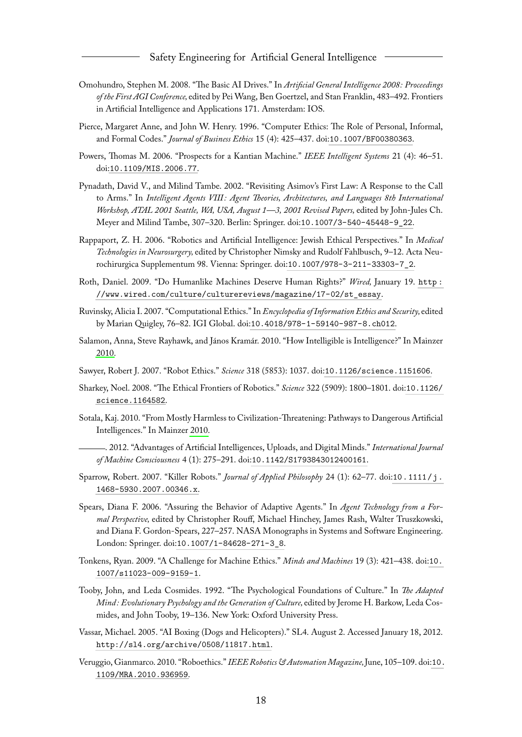- <span id="page-18-9"></span>Omohundro, Stephen M. 2008. "The Basic AI Drives." In *Artificial General Intelligence 2008: Proceedings of the First AGI Conference,* edited by Pei Wang, Ben Goertzel, and Stan Franklin, 483–492. Frontiers in Artificial Intelligence and Applications 171. Amsterdam: IOS.
- <span id="page-18-1"></span>Pierce, Margaret Anne, and John W. Henry. 1996. "Computer Ethics: The Role of Personal, Informal, and Formal Codes." *Journal of Business Ethics* 15 (4): 425–437. doi:[10.1007/BF00380363](http://dx.doi.org/10.1007/BF00380363).
- <span id="page-18-7"></span>Powers, Thomas M. 2006. "Prospects for a Kantian Machine." *IEEE Intelligent Systems* 21 (4): 46–51. doi:[10.1109/MIS.2006.77](http://dx.doi.org/10.1109/MIS.2006.77).
- <span id="page-18-13"></span>Pynadath, David V., and Milind Tambe. 2002. "Revisiting Asimov's First Law: A Response to the Call to Arms." In *Intelligent Agents VIII : Agent Theories, Architectures, and Languages 8th International Workshop, ATAL 2001 Seattle, WA, USA, August 1—3, 2001 Revised Papers,* edited by John-Jules Ch. Meyer and Milind Tambe, 307–320. Berlin: Springer. doi:[10.1007/3-540-45448-9\\_22](http://dx.doi.org/10.1007/3-540-45448-9_22).
- <span id="page-18-8"></span>Rappaport, Z. H. 2006. "Robotics and Artificial Intelligence: Jewish Ethical Perspectives." In *Medical Technologies in Neurosurgery,* edited by Christopher Nimsky and Rudolf Fahlbusch, 9–12. Acta Neurochirurgica Supplementum 98. Vienna: Springer. doi:[10.1007/978-3-211-33303-7\\_2](http://dx.doi.org/10.1007/978-3-211-33303-7_2).
- <span id="page-18-17"></span>Roth, Daniel. 2009. "Do Humanlike Machines Deserve Human Rights?" *Wired,* January 19. [http :](http://www.wired.com/culture/culturereviews/magazine/17-02/st_essay) [//www.wired.com/culture/culturereviews/magazine/17-02/st\\_essay](http://www.wired.com/culture/culturereviews/magazine/17-02/st_essay).
- <span id="page-18-4"></span>Ruvinsky, Alicia I. 2007. "Computational Ethics." In *Encyclopedia of Information Ethics and Security,* edited by Marian Quigley, 76–82. IGI Global. doi:[10.4018/978-1-59140-987-8.ch012](http://dx.doi.org/10.4018/978-1-59140-987-8.ch012).
- <span id="page-18-14"></span>Salamon, Anna, Steve Rayhawk, and János Kramár. 2010. "How Intelligible is Intelligence?" In Mainzer [2010.](#page-17-18)
- <span id="page-18-2"></span>Sawyer, Robert J. 2007. "Robot Ethics." *Science* 318 (5853): 1037. doi:[10.1126/science.1151606](http://dx.doi.org/10.1126/science.1151606).
- <span id="page-18-3"></span>Sharkey, Noel. 2008. "The Ethical Frontiers of Robotics." *Science* 322 (5909): 1800–1801. doi:[10.1126/](http://dx.doi.org/10.1126/science.1164582) [science.1164582](http://dx.doi.org/10.1126/science.1164582).
- <span id="page-18-11"></span><span id="page-18-10"></span>Sotala, Kaj. 2010. "From Mostly Harmless to Civilization-Threatening: Pathways to Dangerous Artificial Intelligences." In Mainzer [2010.](#page-17-18)
	- . 2012. "Advantages of Artificial Intelligences, Uploads, and Digital Minds." *International Journal of Machine Consciousness* 4 (1): 275–291. doi:[10.1142/S1793843012400161](http://dx.doi.org/10.1142/S1793843012400161).
- <span id="page-18-6"></span>Sparrow, Robert. 2007. "Killer Robots." *Journal of Applied Philosophy* 24 (1): 62–77. doi:[10.1111/j.](http://dx.doi.org/10.1111/j.1468-5930.2007.00346.x) [1468-5930.2007.00346.x](http://dx.doi.org/10.1111/j.1468-5930.2007.00346.x).
- <span id="page-18-15"></span>Spears, Diana F. 2006. "Assuring the Behavior of Adaptive Agents." In *Agent Technology from a Formal Perspective,* edited by Christopher Rouff, Michael Hinchey, James Rash, Walter Truszkowski, and Diana F. Gordon-Spears, 227–257. NASA Monographs in Systems and Software Engineering. London: Springer. doi:[10.1007/1-84628-271-3\\_8](http://dx.doi.org/10.1007/1-84628-271-3_8).
- <span id="page-18-0"></span>Tonkens, Ryan. 2009. "A Challenge for Machine Ethics." *Minds and Machines* 19 (3): 421–438. doi:[10.](http://dx.doi.org/10.1007/s11023-009-9159-1) [1007/s11023-009-9159-1](http://dx.doi.org/10.1007/s11023-009-9159-1).
- <span id="page-18-12"></span>Tooby, John, and Leda Cosmides. 1992. "The Psychological Foundations of Culture." In *The Adapted Mind: Evolutionary Psychology and the Generation of Culture,* edited by Jerome H. Barkow, Leda Cosmides, and John Tooby, 19–136. New York: Oxford University Press.
- <span id="page-18-16"></span>Vassar, Michael. 2005. "AI Boxing (Dogs and Helicopters)." SL4. August 2. Accessed January 18, 2012. <http://sl4.org/archive/0508/11817.html>.
- <span id="page-18-5"></span>Veruggio, Gianmarco. 2010. "Roboethics."*IEEE Robotics & AutomationMagazine,*June, 105–109. doi:[10.](http://dx.doi.org/10.1109/MRA.2010.936959) [1109/MRA.2010.936959](http://dx.doi.org/10.1109/MRA.2010.936959).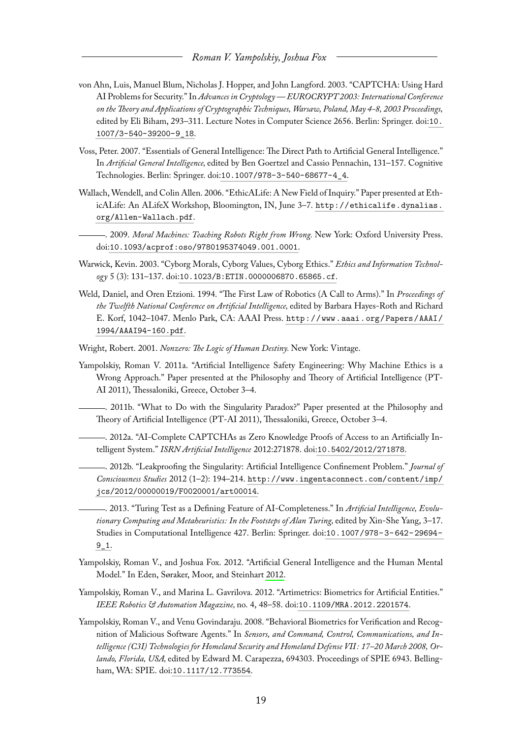- <span id="page-19-12"></span>von Ahn, Luis, Manuel Blum, Nicholas J. Hopper, and John Langford. 2003. "CAPTCHA: Using Hard AI Problems for Security." In *Advances in Cryptology— EUROCRYPT 2003: International Conference on the Theory and Applications of Cryptographic Techniques, Warsaw, Poland, May 4-8, 2003 Proceedings,* edited by Eli Biham, 293–311. Lecture Notes in Computer Science 2656. Berlin: Springer. doi:[10.](http://dx.doi.org/10.1007/3-540-39200-9_18) [1007/3-540-39200-9\\_18](http://dx.doi.org/10.1007/3-540-39200-9_18).
- <span id="page-19-4"></span>Voss, Peter. 2007. "Essentials of General Intelligence: The Direct Path to Artificial General Intelligence." In *Artificial General Intelligence,* edited by Ben Goertzel and Cassio Pennachin, 131–157. Cognitive Technologies. Berlin: Springer. doi:[10.1007/978-3-540-68677-4\\_4](http://dx.doi.org/10.1007/978-3-540-68677-4_4).
- <span id="page-19-0"></span>Wallach, Wendell, and Colin Allen. 2006. "EthicALife: A New Field of Inquiry." Paper presented at EthicALife: An ALifeX Workshop, Bloomington, IN, June 3–7. [http://ethicalife.dynalias.](http://ethicalife.dynalias.org/Allen-Wallach.pdf) [org/Allen-Wallach.pdf](http://ethicalife.dynalias.org/Allen-Wallach.pdf).
- <span id="page-19-1"></span>. 2009. *Moral Machines: Teaching Robots Right from Wrong.* New York: Oxford University Press. doi:[10.1093/acprof:oso/9780195374049.001.0001](http://dx.doi.org/10.1093/acprof:oso/9780195374049.001.0001).
- <span id="page-19-2"></span>Warwick, Kevin. 2003. "Cyborg Morals, Cyborg Values, Cyborg Ethics." *Ethics and Information Technology* 5 (3): 131–137. doi:[10.1023/B:ETIN.0000006870.65865.cf](http://dx.doi.org/10.1023/B:ETIN.0000006870.65865.cf).
- <span id="page-19-7"></span>Weld, Daniel, and Oren Etzioni. 1994. "The First Law of Robotics (A Call to Arms)." In *Proceedings of the Twelfth National Conference on Artificial Intelligence,* edited by Barbara Hayes-Roth and Richard E. Korf, 1042–1047. Menlo Park, CA: AAAI Press. [http://www.aaai.org/Papers/AAAI/](http://www.aaai.org/Papers/AAAI/1994/AAAI94-160.pdf) [1994/AAAI94-160.pdf](http://www.aaai.org/Papers/AAAI/1994/AAAI94-160.pdf).
- <span id="page-19-5"></span>Wright, Robert. 2001. *Nonzero: The Logic of Human Destiny.* New York: Vintage.
- <span id="page-19-14"></span>Yampolskiy, Roman V. 2011a. "Artificial Intelligence Safety Engineering: Why Machine Ethics is a Wrong Approach." Paper presented at the Philosophy and Theory of Artificial Intelligence (PT-AI 2011), Thessaloniki, Greece, October 3–4.

<span id="page-19-8"></span>. 2011b. "What to Do with the Singularity Paradox?" Paper presented at the Philosophy and Theory of Artificial Intelligence (PT-AI 2011), Thessaloniki, Greece, October 3–4.

<span id="page-19-13"></span>. 2012a. "AI-Complete CAPTCHAs as Zero Knowledge Proofs of Access to an Artificially Intelligent System." *ISRN Artificial Intelligence* 2012:271878. doi:[10.5402/2012/271878](http://dx.doi.org/10.5402/2012/271878).

<span id="page-19-9"></span>. 2012b. "Leakproofing the Singularity: Artificial Intelligence Confinement Problem." *Journal of Consciousness Studies* 2012 (1–2): 194–214. [http://www.ingentaconnect.com/content/imp/](http://www.ingentaconnect.com/content/imp/jcs/2012/00000019/F0020001/art00014) [jcs/2012/00000019/F0020001/art00014](http://www.ingentaconnect.com/content/imp/jcs/2012/00000019/F0020001/art00014).

<span id="page-19-3"></span>. 2013. "Turing Test as a Defining Feature of AI-Completeness." In *Artificial Intelligence, Evolutionary Computing and Metaheuristics: In the Footsteps of Alan Turing,* edited by Xin-She Yang, 3–17. Studies in Computational Intelligence 427. Berlin: Springer. doi:[10.1007/978-3-642-29694-](http://dx.doi.org/10.1007/978-3-642-29694-9_1)  $9 - 1$ .

- <span id="page-19-6"></span>Yampolskiy, Roman V., and Joshua Fox. 2012. "Artificial General Intelligence and the Human Mental Model." In Eden, Søraker, Moor, and Steinhart [2012.](#page-16-16)
- <span id="page-19-11"></span>Yampolskiy, Roman V., and Marina L. Gavrilova. 2012. "Artimetrics: Biometrics for Artificial Entities." *IEEE Robotics & Automation Magazine,* no. 4, 48–58. doi:[10.1109/MRA.2012.2201574](http://dx.doi.org/10.1109/MRA.2012.2201574).
- <span id="page-19-10"></span>Yampolskiy, Roman V., and Venu Govindaraju. 2008. "Behavioral Biometrics for Verification and Recognition of Malicious Software Agents." In *Sensors, and Command, Control, Communications, and Intelligence (C3I) Technologies for Homeland Security and Homeland Defense VII : 17–20 March 2008, Orlando, Florida, USA,* edited by Edward M. Carapezza, 694303. Proceedings of SPIE 6943. Bellingham, WA: SPIE. doi:[10.1117/12.773554](http://dx.doi.org/10.1117/12.773554).